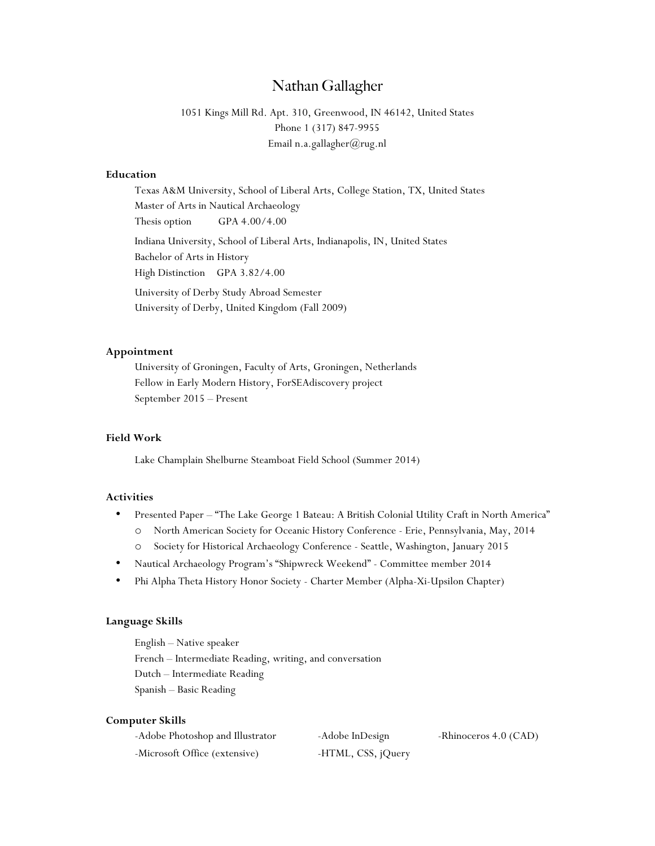# Nathan Gallagher

1051 Kings Mill Rd. Apt. 310, Greenwood, IN 46142, United States Phone 1 (317) 847-9955 Email n.a.gallagher@rug.nl

#### **Education**

Texas A&M University, School of Liberal Arts, College Station, TX, United States Master of Arts in Nautical Archaeology Thesis option GPA 4.00/4.00 Indiana University, School of Liberal Arts, Indianapolis, IN, United States Bachelor of Arts in History High Distinction GPA 3.82/4.00 University of Derby Study Abroad Semester University of Derby, United Kingdom (Fall 2009)

## **Appointment**

University of Groningen, Faculty of Arts, Groningen, Netherlands Fellow in Early Modern History, ForSEAdiscovery project September 2015 – Present

# **Field Work**

Lake Champlain Shelburne Steamboat Field School (Summer 2014)

### **Activities**

- Presented Paper "The Lake George 1 Bateau: A British Colonial Utility Craft in North America"
	- o North American Society for Oceanic History Conference Erie, Pennsylvania, May, 2014
	- o Society for Historical Archaeology Conference Seattle, Washington, January 2015
- Nautical Archaeology Program's "Shipwreck Weekend" Committee member 2014
- Phi Alpha Theta History Honor Society Charter Member (Alpha-Xi-Upsilon Chapter)

## **Language Skills**

English – Native speaker French – Intermediate Reading, writing, and conversation Dutch – Intermediate Reading Spanish – Basic Reading

#### **Computer Skills**

| -Adobe Photoshop and Illustrator | -Adobe InDesign    | -Rhinoceros 4.0 (CAD) |
|----------------------------------|--------------------|-----------------------|
| -Microsoft Office (extensive)    | -HTML, CSS, jQuery |                       |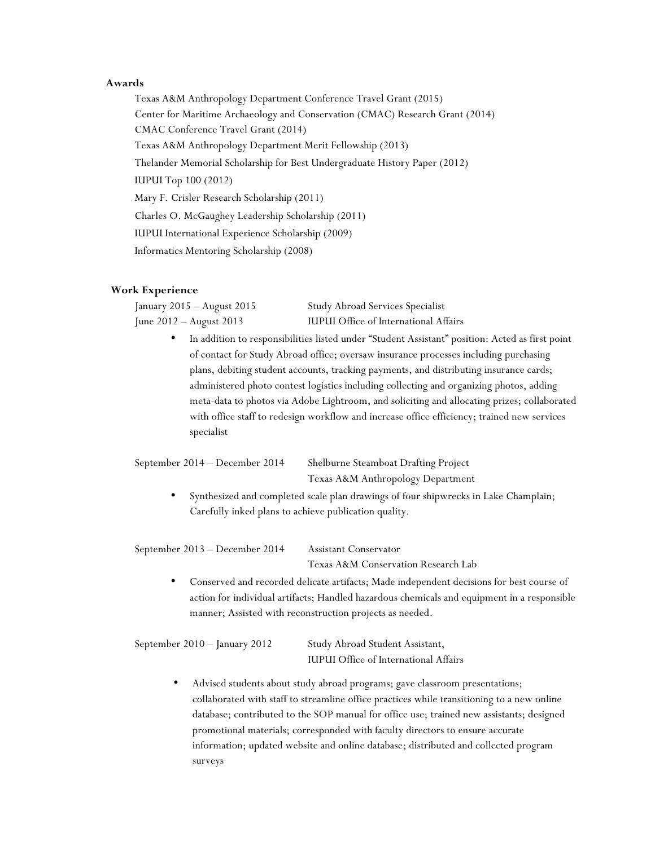## **Awards**

Texas A&M Anthropology Department Conference Travel Grant (2015) Center for Maritime Archaeology and Conservation (CMAC) Research Grant (2014) CMAC Conference Travel Grant (2014) Texas A&M Anthropology Department Merit Fellowship (2013) Thelander Memorial Scholarship for Best Undergraduate History Paper (2012) IUPUI Top 100 (2012) Mary F. Crisler Research Scholarship (2011) Charles O. McGaughey Leadership Scholarship (2011) IUPUI International Experience Scholarship (2009) Informatics Mentoring Scholarship (2008)

#### **Work Experience**

| January 2015 – August 2015 | Study Abroad Services Specialist             |
|----------------------------|----------------------------------------------|
| June 2012 – August 2013    | <b>IUPUI</b> Office of International Affairs |

• In addition to responsibilities listed under "Student Assistant" position: Acted as first point of contact for Study Abroad office; oversaw insurance processes including purchasing plans, debiting student accounts, tracking payments, and distributing insurance cards; administered photo contest logistics including collecting and organizing photos, adding meta-data to photos via Adobe Lightroom, and soliciting and allocating prizes; collaborated with office staff to redesign workflow and increase office efficiency; trained new services specialist

| September 2014 – December 2014 | Shelburne Steamboat Drafting Project |
|--------------------------------|--------------------------------------|
|                                | Texas A&M Anthropology Department    |

• Synthesized and completed scale plan drawings of four shipwrecks in Lake Champlain; Carefully inked plans to achieve publication quality.

September 2013 – December 2014 Assistant Conservator Texas A&M Conservation Research Lab • Conserved and recorded delicate artifacts; Made independent decisions for best course of action for individual artifacts; Handled hazardous chemicals and equipment in a responsible manner; Assisted with reconstruction projects as needed.

| September 2010 - January 2012 | Study Abroad Student Assistant,              |
|-------------------------------|----------------------------------------------|
|                               | <b>IUPUI</b> Office of International Affairs |

• Advised students about study abroad programs; gave classroom presentations; collaborated with staff to streamline office practices while transitioning to a new online database; contributed to the SOP manual for office use; trained new assistants; designed promotional materials; corresponded with faculty directors to ensure accurate information; updated website and online database; distributed and collected program surveys